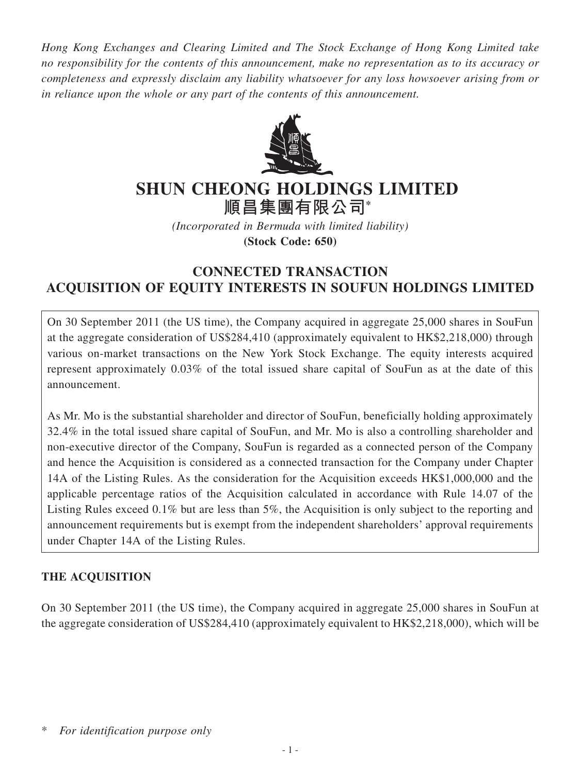*Hong Kong Exchanges and Clearing Limited and The Stock Exchange of Hong Kong Limited take no responsibility for the contents of this announcement, make no representation as to its accuracy or completeness and expressly disclaim any liability whatsoever for any loss howsoever arising from or in reliance upon the whole or any part of the contents of this announcement.*



# **SHUN CHEONG HOLDINGS LIMITED**

**順昌集團有限公司\***

*(Incorporated in Bermuda with limited liability)* **(Stock Code: 650)**

# **CONNECTED TRANSACTION ACQUISITION OF EQUITY INTERESTS IN SOUFUN HOLDINGS LIMITED**

On 30 September 2011 (the US time), the Company acquired in aggregate 25,000 shares in SouFun at the aggregate consideration of US\$284,410 (approximately equivalent to HK\$2,218,000) through various on-market transactions on the New York Stock Exchange. The equity interests acquired represent approximately 0.03% of the total issued share capital of SouFun as at the date of this announcement.

As Mr. Mo is the substantial shareholder and director of SouFun, beneficially holding approximately 32.4% in the total issued share capital of SouFun, and Mr. Mo is also a controlling shareholder and non-executive director of the Company, SouFun is regarded as a connected person of the Company and hence the Acquisition is considered as a connected transaction for the Company under Chapter 14A of the Listing Rules. As the consideration for the Acquisition exceeds HK\$1,000,000 and the applicable percentage ratios of the Acquisition calculated in accordance with Rule 14.07 of the Listing Rules exceed 0.1% but are less than 5%, the Acquisition is only subject to the reporting and announcement requirements but is exempt from the independent shareholders' approval requirements under Chapter 14A of the Listing Rules.

# **THE ACQUISITION**

On 30 September 2011 (the US time), the Company acquired in aggregate 25,000 shares in SouFun at the aggregate consideration of US\$284,410 (approximately equivalent to HK\$2,218,000), which will be

<sup>\*</sup> *For identification purpose only*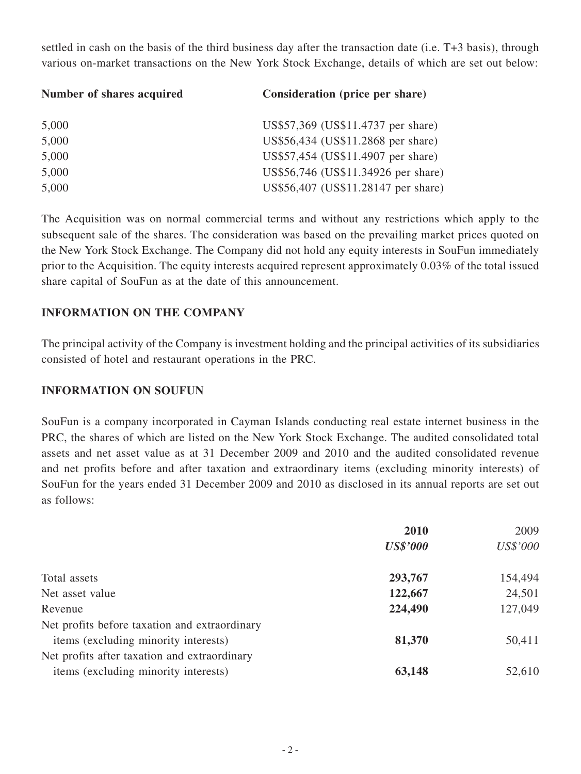settled in cash on the basis of the third business day after the transaction date (i.e. T+3 basis), through various on-market transactions on the New York Stock Exchange, details of which are set out below:

| Number of shares acquired | Consideration (price per share)     |
|---------------------------|-------------------------------------|
| 5,000                     | US\$57,369 (US\$11.4737 per share)  |
| 5,000                     | US\$56,434 (US\$11.2868 per share)  |
| 5,000                     | US\$57,454 (US\$11.4907 per share)  |
| 5,000                     | US\$56,746 (US\$11.34926 per share) |
| 5,000                     | US\$56,407 (US\$11.28147 per share) |

The Acquisition was on normal commercial terms and without any restrictions which apply to the subsequent sale of the shares. The consideration was based on the prevailing market prices quoted on the New York Stock Exchange. The Company did not hold any equity interests in SouFun immediately prior to the Acquisition. The equity interests acquired represent approximately 0.03% of the total issued share capital of SouFun as at the date of this announcement.

## **INFORMATION ON THE COMPANY**

The principal activity of the Company is investment holding and the principal activities of its subsidiaries consisted of hotel and restaurant operations in the PRC.

#### **INFORMATION ON SOUFUN**

SouFun is a company incorporated in Cayman Islands conducting real estate internet business in the PRC, the shares of which are listed on the New York Stock Exchange. The audited consolidated total assets and net asset value as at 31 December 2009 and 2010 and the audited consolidated revenue and net profits before and after taxation and extraordinary items (excluding minority interests) of SouFun for the years ended 31 December 2009 and 2010 as disclosed in its annual reports are set out as follows:

|                                               | 2010            | 2009     |
|-----------------------------------------------|-----------------|----------|
|                                               | <b>US\$'000</b> | US\$'000 |
| Total assets                                  | 293,767         | 154,494  |
| Net asset value                               | 122,667         | 24,501   |
| Revenue                                       | 224,490         | 127,049  |
| Net profits before taxation and extraordinary |                 |          |
| items (excluding minority interests)          | 81,370          | 50,411   |
| Net profits after taxation and extraordinary  |                 |          |
| items (excluding minority interests)          | 63,148          | 52,610   |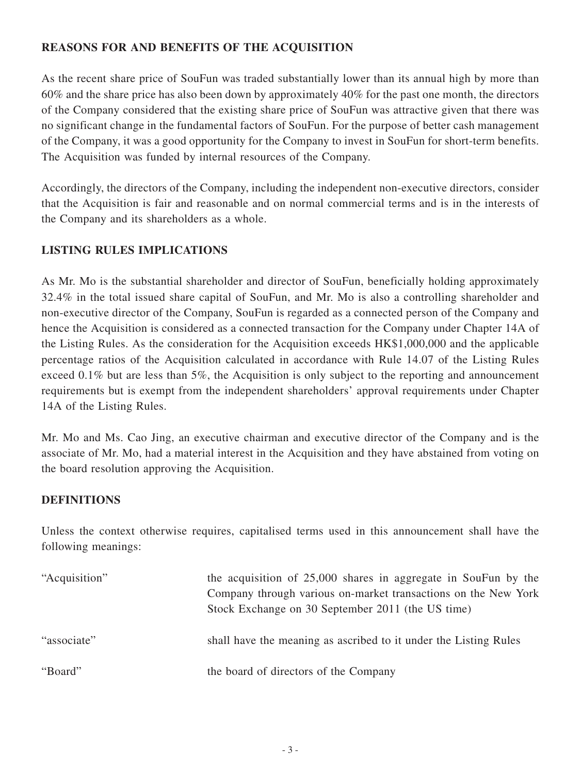# **REASONS FOR AND BENEFITS OF THE ACQUISITION**

As the recent share price of SouFun was traded substantially lower than its annual high by more than 60% and the share price has also been down by approximately 40% for the past one month, the directors of the Company considered that the existing share price of SouFun was attractive given that there was no significant change in the fundamental factors of SouFun. For the purpose of better cash management of the Company, it was a good opportunity for the Company to invest in SouFun for short-term benefits. The Acquisition was funded by internal resources of the Company.

Accordingly, the directors of the Company, including the independent non-executive directors, consider that the Acquisition is fair and reasonable and on normal commercial terms and is in the interests of the Company and its shareholders as a whole.

# **LISTING RULES IMPLICATIONS**

As Mr. Mo is the substantial shareholder and director of SouFun, beneficially holding approximately 32.4% in the total issued share capital of SouFun, and Mr. Mo is also a controlling shareholder and non-executive director of the Company, SouFun is regarded as a connected person of the Company and hence the Acquisition is considered as a connected transaction for the Company under Chapter 14A of the Listing Rules. As the consideration for the Acquisition exceeds HK\$1,000,000 and the applicable percentage ratios of the Acquisition calculated in accordance with Rule 14.07 of the Listing Rules exceed 0.1% but are less than 5%, the Acquisition is only subject to the reporting and announcement requirements but is exempt from the independent shareholders' approval requirements under Chapter 14A of the Listing Rules.

Mr. Mo and Ms. Cao Jing, an executive chairman and executive director of the Company and is the associate of Mr. Mo, had a material interest in the Acquisition and they have abstained from voting on the board resolution approving the Acquisition.

## **DEFINITIONS**

Unless the context otherwise requires, capitalised terms used in this announcement shall have the following meanings:

| "Acquisition" | the acquisition of 25,000 shares in aggregate in SouFun by the<br>Company through various on-market transactions on the New York |
|---------------|----------------------------------------------------------------------------------------------------------------------------------|
| "associate"   | Stock Exchange on 30 September 2011 (the US time)<br>shall have the meaning as ascribed to it under the Listing Rules            |
| "Board"       | the board of directors of the Company                                                                                            |